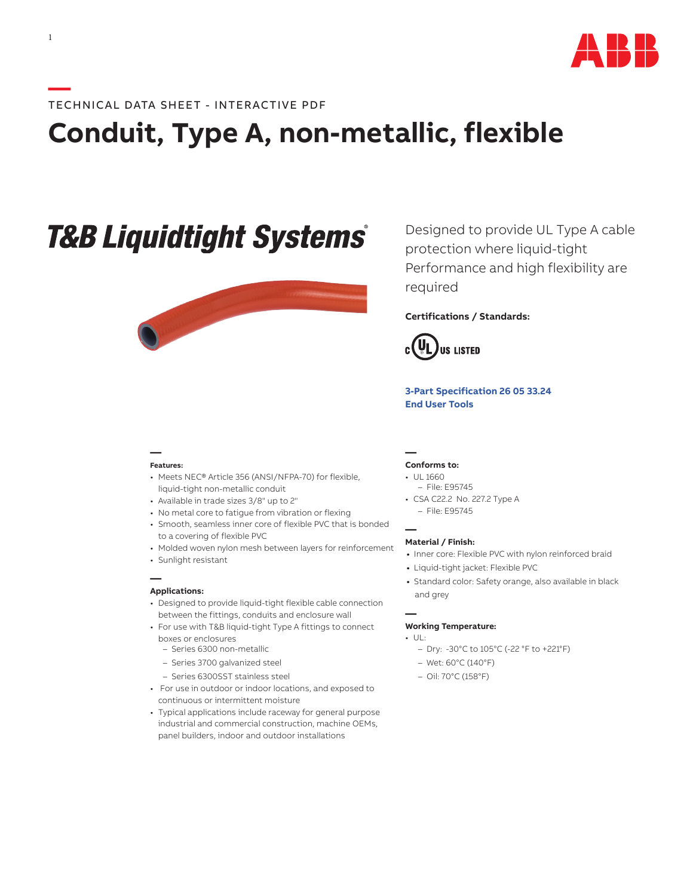

# **—**TECHNICAL DATA SHEET - INTERACTIVE PDF

# **Conduit, Type A, non-metallic, flexible**

# **T&B Liquidtight Systems®**



**— Features:**

- Meets NEC® Article 356 (ANSI/NFPA-70) for flexible, liquid-tight non-metallic conduit
- Available in trade sizes 3/8" up to 2"
- No metal core to fatigue from vibration or flexing
- Smooth, seamless inner core of flexible PVC that is bonded to a covering of flexible PVC
- Molded woven nylon mesh between layers for reinforcement
- Sunlight resistant

#### **— Applications:**

- Designed to provide liquid-tight flexible cable connection between the fittings, conduits and enclosure wall
- For use with T&B liquid-tight Type A fittings to connect boxes or enclosures
	- Series 6300 non-metallic
	- Series 3700 galvanized steel
	- Series 6300SST stainless steel
- For use in outdoor or indoor locations, and exposed to continuous or intermittent moisture
- Typical applications include raceway for general purpose industrial and commercial construction, machine OEMs, panel builders, indoor and outdoor installations

Designed to provide UL Type A cable protection where liquid-tight Performance and high flexibility are required

## **Certifications / Standards:**



**[3-Part Specification](http://www-public.tnb.com/ps/pubint/specguide.cgi) 26 05 33.24 [End User Tools](http://tnb.abb.com/pub/en/node/258)**

### **— Conforms to:**

- UL 1660
- File: E95745
- CSA C22.2 No. 227.2 Type A – File: E95745

**— Material / Finish:**

- **•** Inner core: Flexible PVC with nylon reinforced braid
- **•** Liquid-tight jacket: Flexible PVC
- **•** Standard color: Safety orange, also available in black and grey

#### **— Working Temperature:**

- UL:
	- Dry: -30°C to 105°C (-22 °F to +221°F)
	- Wet: 60°C (140°F)
	- Oil: 70°C (158°F)